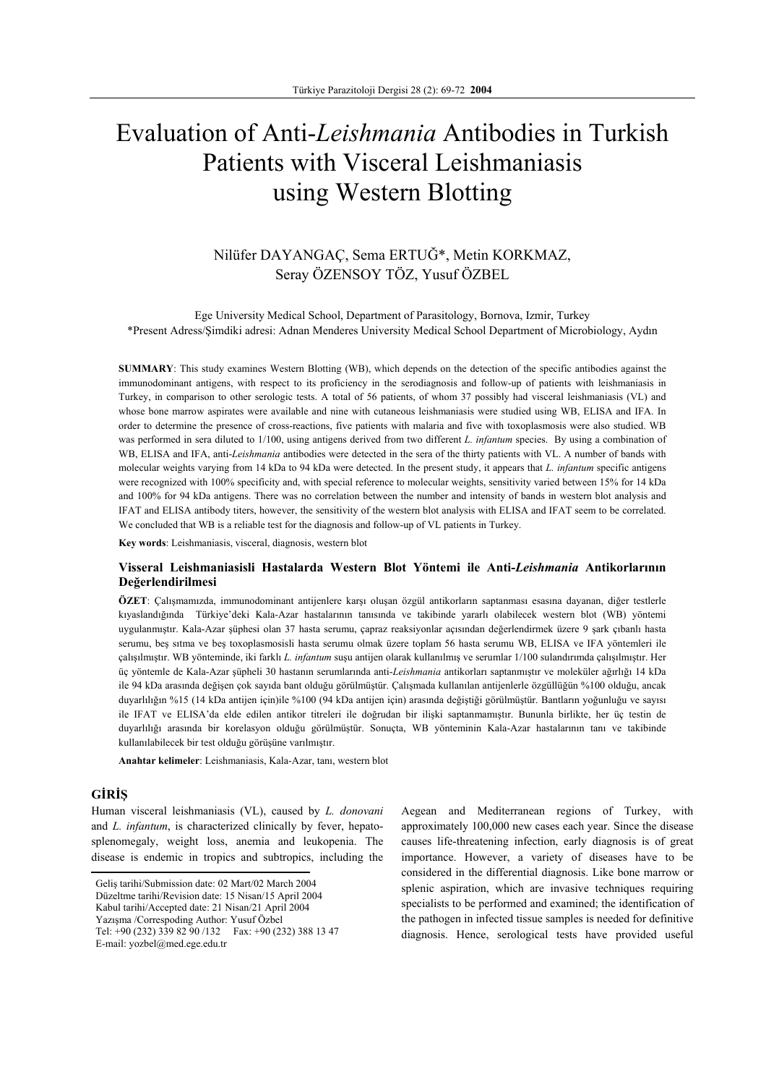# Evaluation of Anti-*Leishmania* Antibodies in Turkish Patients with Visceral Leishmaniasis using Western Blotting

# Nilüfer DAYANGAÇ, Sema ERTUĞ\*, Metin KORKMAZ, Seray ÖZENSOY TÖZ, Yusuf ÖZBEL

Ege University Medical School, Department of Parasitology, Bornova, Izmir, Turkey \*Present Adress/Şimdiki adresi: Adnan Menderes University Medical School Department of Microbiology, Aydın

**SUMMARY**: This study examines Western Blotting (WB), which depends on the detection of the specific antibodies against the immunodominant antigens, with respect to its proficiency in the serodiagnosis and follow-up of patients with leishmaniasis in Turkey, in comparison to other serologic tests. A total of 56 patients, of whom 37 possibly had visceral leishmaniasis (VL) and whose bone marrow aspirates were available and nine with cutaneous leishmaniasis were studied using WB, ELISA and IFA. In order to determine the presence of cross-reactions, five patients with malaria and five with toxoplasmosis were also studied. WB was performed in sera diluted to 1/100, using antigens derived from two different *L. infantum* species. By using a combination of WB, ELISA and IFA, anti-*Leishmania* antibodies were detected in the sera of the thirty patients with VL. A number of bands with molecular weights varying from 14 kDa to 94 kDa were detected. In the present study, it appears that *L. infantum* specific antigens were recognized with 100% specificity and, with special reference to molecular weights, sensitivity varied between 15% for 14 kDa and 100% for 94 kDa antigens. There was no correlation between the number and intensity of bands in western blot analysis and IFAT and ELISA antibody titers, however, the sensitivity of the western blot analysis with ELISA and IFAT seem to be correlated. We concluded that WB is a reliable test for the diagnosis and follow-up of VL patients in Turkey.

**Key words**: Leishmaniasis, visceral, diagnosis, western blot

## **Visseral Leishmaniasisli Hastalarda Western Blot Yöntemi ile Anti-***Leishmania* **Antikorlarının Değerlendirilmesi**

**ÖZET**: Çalışmamızda, immunodominant antijenlere karşı oluşan özgül antikorların saptanması esasına dayanan, diğer testlerle kıyaslandığında Türkiye'deki Kala-Azar hastalarının tanısında ve takibinde yararlı olabilecek western blot (WB) yöntemi uygulanmıştır. Kala-Azar şüphesi olan 37 hasta serumu, çapraz reaksiyonlar açısından değerlendirmek üzere 9 şark çıbanlı hasta serumu, beş sıtma ve beş toxoplasmosisli hasta serumu olmak üzere toplam 56 hasta serumu WB, ELISA ve IFA yöntemleri ile çalışılmıştır. WB yönteminde, iki farklı *L. infantum* suşu antijen olarak kullanılmış ve serumlar 1/100 sulandırımda çalışılmıştır. Her üç yöntemle de Kala-Azar şüpheli 30 hastanın serumlarında anti-*Leishmania* antikorları saptanmıştır ve moleküler ağırlığı 14 kDa ile 94 kDa arasında değişen çok sayıda bant olduğu görülmüştür. Çalışmada kullanılan antijenlerle özgüllüğün %100 olduğu, ancak duyarlılığın %15 (14 kDa antijen için)ile %100 (94 kDa antijen için) arasında değiştiği görülmüştür. Bantların yoğunluğu ve sayısı ile IFAT ve ELISA'da elde edilen antikor titreleri ile doğrudan bir ilişki saptanmamıştır. Bununla birlikte, her üç testin de duyarlılığı arasında bir korelasyon olduğu görülmüştür. Sonuçta, WB yönteminin Kala-Azar hastalarının tanı ve takibinde kullanılabilecek bir test olduğu görüşüne varılmıştır.

**Anahtar kelimeler**: Leishmaniasis, Kala-Azar, tanı, western blot

# **GİRİŞ**

Human visceral leishmaniasis (VL), caused by *L. donovani* and *L. infantum*, is characterized clinically by fever, hepatosplenomegaly, weight loss, anemia and leukopenia. The disease is endemic in tropics and subtropics, including the

Kabul tarihi/Accepted date: 21 Nisan/21 April 2004

Yazışma /Correspoding Author: Yusuf Özbel

E-mail: yozbel@med.ege.edu.tr

Aegean and Mediterranean regions of Turkey, with approximately 100,000 new cases each year. Since the disease causes life-threatening infection, early diagnosis is of great importance. However, a variety of diseases have to be considered in the differential diagnosis. Like bone marrow or splenic aspiration, which are invasive techniques requiring specialists to be performed and examined; the identification of the pathogen in infected tissue samples is needed for definitive diagnosis. Hence, serological tests have provided useful

Geliş tarihi/Submission date: 02 Mart/02 March 2004 Düzeltme tarihi/Revision date: 15 Nisan/15 April 2004

Tel: +90 (232) 339 82 90 /132 Fax: +90 (232) 388 13 47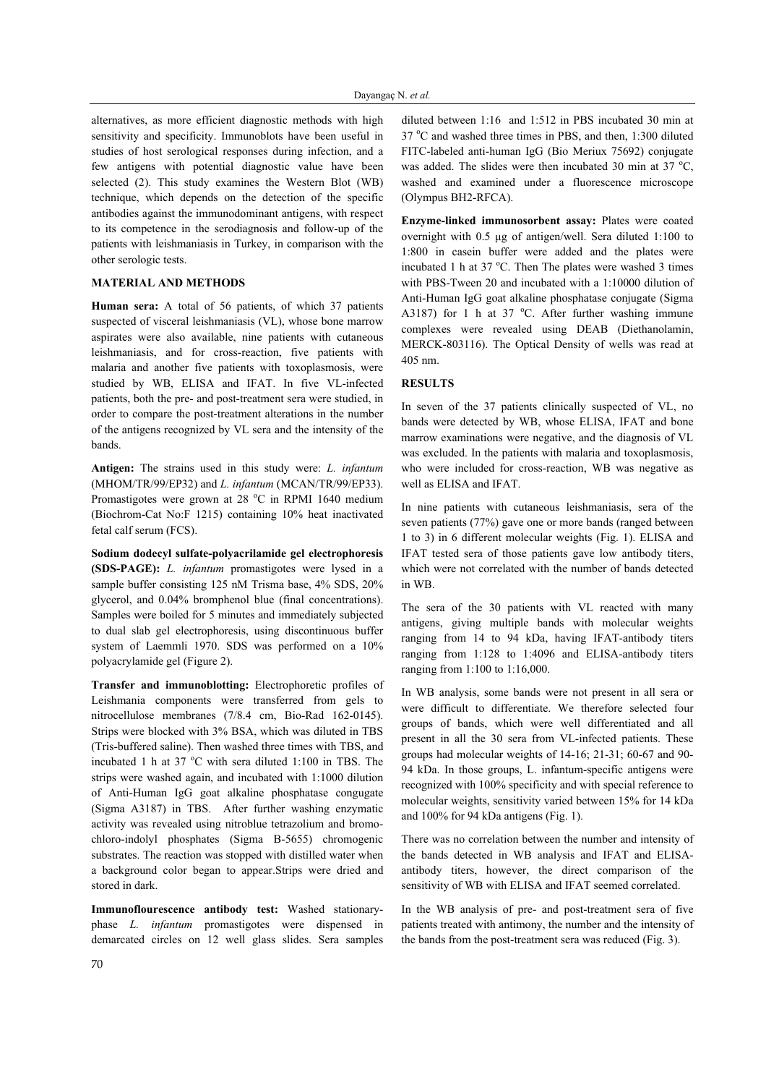alternatives, as more efficient diagnostic methods with high sensitivity and specificity. Immunoblots have been useful in studies of host serological responses during infection, and a few antigens with potential diagnostic value have been selected (2). This study examines the Western Blot (WB) technique, which depends on the detection of the specific antibodies against the immunodominant antigens, with respect to its competence in the serodiagnosis and follow-up of the patients with leishmaniasis in Turkey, in comparison with the other serologic tests.

#### **MATERIAL AND METHODS**

**Human sera:** A total of 56 patients, of which 37 patients suspected of visceral leishmaniasis (VL), whose bone marrow aspirates were also available, nine patients with cutaneous leishmaniasis, and for cross-reaction, five patients with malaria and another five patients with toxoplasmosis, were studied by WB, ELISA and IFAT. In five VL-infected patients, both the pre- and post-treatment sera were studied, in order to compare the post-treatment alterations in the number of the antigens recognized by VL sera and the intensity of the bands.

**Antigen:** The strains used in this study were: *L. infantum* (MHOM/TR/99/EP32) and *L. infantum* (MCAN/TR/99/EP33). Promastigotes were grown at 28 °C in RPMI 1640 medium (Biochrom-Cat No:F 1215) containing 10% heat inactivated fetal calf serum (FCS).

**Sodium dodecyl sulfate-polyacrilamide gel electrophoresis (SDS-PAGE):** *L. infantum* promastigotes were lysed in a sample buffer consisting 125 nM Trisma base, 4% SDS, 20% glycerol, and 0.04% bromphenol blue (final concentrations). Samples were boiled for 5 minutes and immediately subjected to dual slab gel electrophoresis, using discontinuous buffer system of Laemmli 1970. SDS was performed on a 10% polyacrylamide gel (Figure 2).

**Transfer and immunoblotting:** Electrophoretic profiles of Leishmania components were transferred from gels to nitrocellulose membranes (7/8.4 cm, Bio-Rad 162-0145). Strips were blocked with 3% BSA, which was diluted in TBS (Tris-buffered saline). Then washed three times with TBS, and incubated 1 h at 37  $^{\circ}$ C with sera diluted 1:100 in TBS. The strips were washed again, and incubated with 1:1000 dilution of Anti-Human IgG goat alkaline phosphatase congugate (Sigma A3187) in TBS. After further washing enzymatic activity was revealed using nitroblue tetrazolium and bromochloro-indolyl phosphates (Sigma B-5655) chromogenic substrates. The reaction was stopped with distilled water when a background color began to appear.Strips were dried and stored in dark.

**Immunoflourescence antibody test:** Washed stationaryphase *L. infantum* promastigotes were dispensed in demarcated circles on 12 well glass slides. Sera samples diluted between 1:16 and 1:512 in PBS incubated 30 min at 37 °C and washed three times in PBS, and then, 1:300 diluted FITC-labeled anti-human IgG (Bio Meriux 75692) conjugate was added. The slides were then incubated 30 min at 37  $^{\circ}C$ , washed and examined under a fluorescence microscope (Olympus BH2-RFCA).

**Enzyme-linked immunosorbent assay:** Plates were coated overnight with 0.5 µg of antigen/well. Sera diluted 1:100 to 1:800 in casein buffer were added and the plates were incubated 1 h at 37  $^{\circ}$ C. Then The plates were washed 3 times with PBS-Tween 20 and incubated with a 1:10000 dilution of Anti-Human IgG goat alkaline phosphatase conjugate (Sigma A3187) for 1 h at 37  $^{\circ}$ C. After further washing immune complexes were revealed using DEAB (Diethanolamin, MERCK-803116). The Optical Density of wells was read at 405 nm.

#### **RESULTS**

In seven of the 37 patients clinically suspected of VL, no bands were detected by WB, whose ELISA, IFAT and bone marrow examinations were negative, and the diagnosis of VL was excluded. In the patients with malaria and toxoplasmosis, who were included for cross-reaction, WB was negative as well as ELISA and IFAT.

In nine patients with cutaneous leishmaniasis, sera of the seven patients (77%) gave one or more bands (ranged between 1 to 3) in 6 different molecular weights (Fig. 1). ELISA and IFAT tested sera of those patients gave low antibody titers, which were not correlated with the number of bands detected in WB.

The sera of the 30 patients with VL reacted with many antigens, giving multiple bands with molecular weights ranging from 14 to 94 kDa, having IFAT-antibody titers ranging from 1:128 to 1:4096 and ELISA-antibody titers ranging from 1:100 to 1:16,000.

In WB analysis, some bands were not present in all sera or were difficult to differentiate. We therefore selected four groups of bands, which were well differentiated and all present in all the 30 sera from VL-infected patients. These groups had molecular weights of 14-16; 21-31; 60-67 and 90- 94 kDa. In those groups, L. infantum-specific antigens were recognized with 100% specificity and with special reference to molecular weights, sensitivity varied between 15% for 14 kDa and 100% for 94 kDa antigens (Fig. 1).

There was no correlation between the number and intensity of the bands detected in WB analysis and IFAT and ELISAantibody titers, however, the direct comparison of the sensitivity of WB with ELISA and IFAT seemed correlated.

In the WB analysis of pre- and post-treatment sera of five patients treated with antimony, the number and the intensity of the bands from the post-treatment sera was reduced (Fig. 3).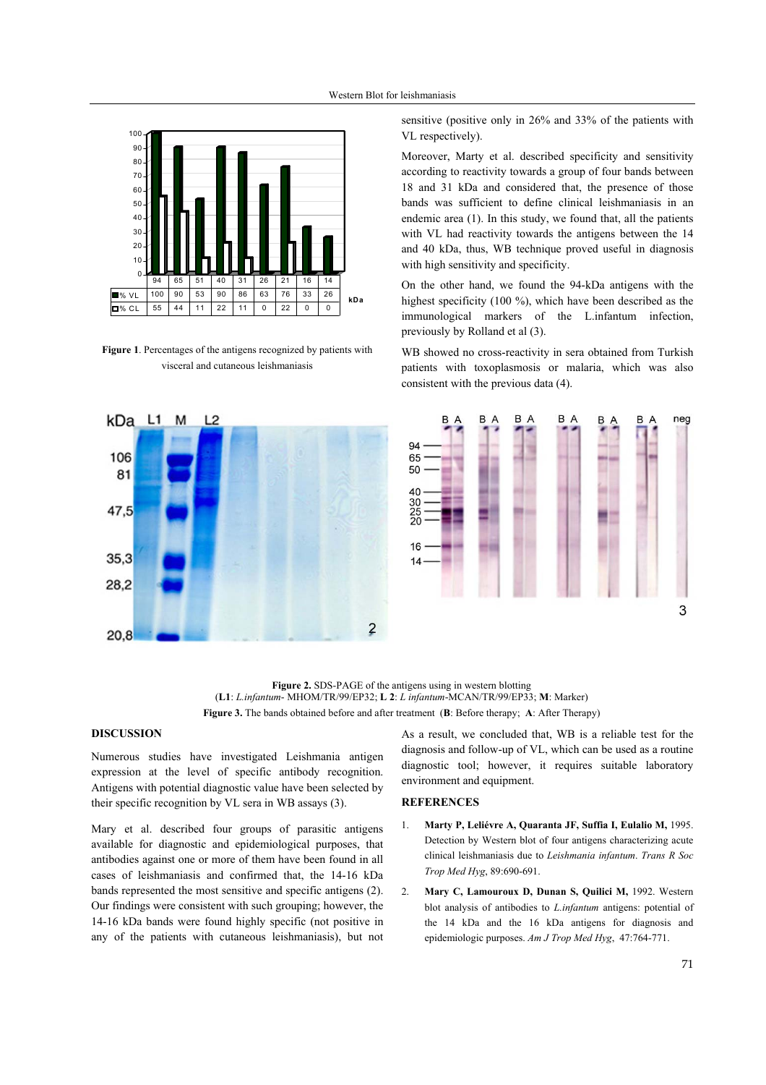

**Figure 1**. Percentages of the antigens recognized by patients with visceral and cutaneous leishmaniasis

sensitive (positive only in 26% and 33% of the patients with VL respectively).

Moreover, Marty et al. described specificity and sensitivity according to reactivity towards a group of four bands between 18 and 31 kDa and considered that, the presence of those bands was sufficient to define clinical leishmaniasis in an endemic area (1). In this study, we found that, all the patients with VL had reactivity towards the antigens between the 14 and 40 kDa, thus, WB technique proved useful in diagnosis with high sensitivity and specificity.

On the other hand, we found the 94-kDa antigens with the highest specificity (100 %), which have been described as the immunological markers of the L.infantum infection, previously by Rolland et al (3).

WB showed no cross-reactivity in sera obtained from Turkish patients with toxoplasmosis or malaria, which was also consistent with the previous data (4).



**Figure 2.** SDS-PAGE of the antigens using in western blotting (**L1**: *L.infantum*- MHOM/TR/99/EP32; **L 2**: *L infantum*-MCAN/TR/99/EP33; **M**: Marker) **Figure 3.** The bands obtained before and after treatment (**B**: Before therapy; **A**: After Therapy)

### **DISCUSSION**

Numerous studies have investigated Leishmania antigen expression at the level of specific antibody recognition. Antigens with potential diagnostic value have been selected by their specific recognition by VL sera in WB assays (3).

Mary et al. described four groups of parasitic antigens available for diagnostic and epidemiological purposes, that antibodies against one or more of them have been found in all cases of leishmaniasis and confirmed that, the 14-16 kDa bands represented the most sensitive and specific antigens (2). Our findings were consistent with such grouping; however, the 14-16 kDa bands were found highly specific (not positive in any of the patients with cutaneous leishmaniasis), but not As a result, we concluded that, WB is a reliable test for the diagnosis and follow-up of VL, which can be used as a routine diagnostic tool; however, it requires suitable laboratory environment and equipment.

#### **REFERENCES**

- 1. **Marty P, Leliévre A, Quaranta JF, Suffia I, Eulalio M,** 1995. Detection by Western blot of four antigens characterizing acute clinical leishmaniasis due to *Leishmania infantum*. *Trans R Soc Trop Med Hyg*, 89:690-691.
- 2. **Mary C, Lamouroux D, Dunan S, Quilici M,** 1992. Western blot analysis of antibodies to *L.infantum* antigens: potential of the 14 kDa and the 16 kDa antigens for diagnosis and epidemiologic purposes. *Am J Trop Med Hyg*, 47:764-771.